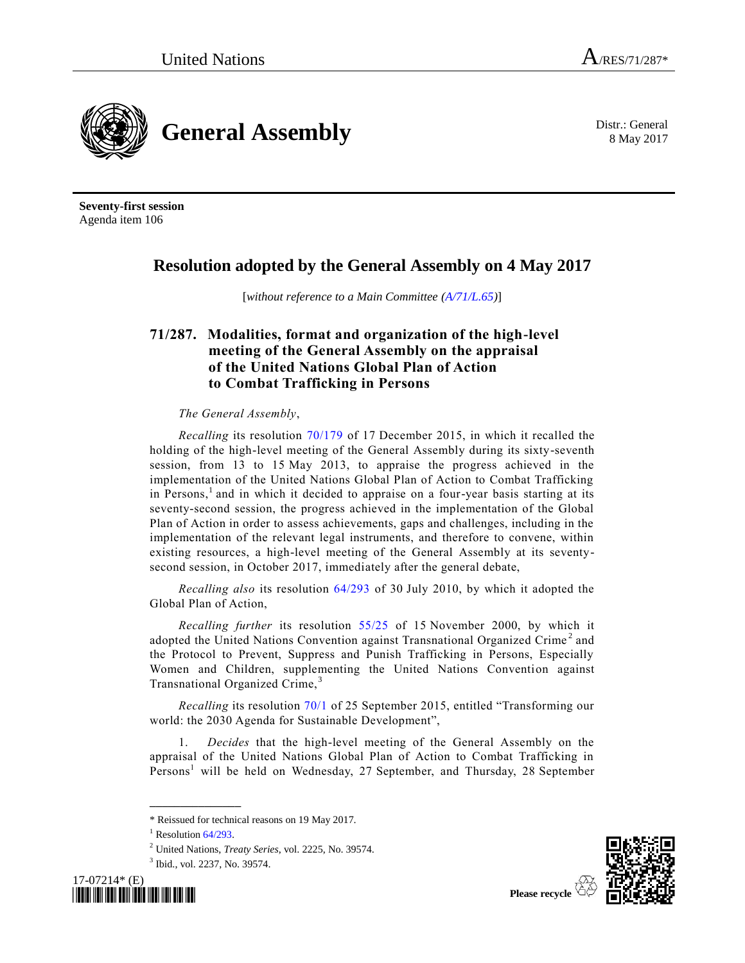8 May 2017



**Seventy-first session** Agenda item 106

## **Resolution adopted by the General Assembly on 4 May 2017**

[*without reference to a Main Committee [\(A/71/L.65\)](https://undocs.org/A/71/L.65)*]

## **71/287. Modalities, format and organization of the high-level meeting of the General Assembly on the appraisal of the United Nations Global Plan of Action to Combat Trafficking in Persons**

*The General Assembly*,

<span id="page-0-0"></span>*Recalling* its resolution [70/179](https://undocs.org/A/RES/70/179) of 17 December 2015, in which it recalled the holding of the high-level meeting of the General Assembly during its sixty-seventh session, from 13 to 15 May 2013, to appraise the progress achieved in the implementation of the United Nations Global Plan of Action to Combat Trafficking in Persons, 1 and in which it decided to appraise on a four-year basis starting at its seventy-second session, the progress achieved in the implementation of the Global Plan of Action in order to assess achievements, gaps and challenges, including in the implementation of the relevant legal instruments, and therefore to convene, within existing resources, a high-level meeting of the General Assembly at its seventysecond session, in October 2017, immediately after the general debate,

*Recalling also* its resolution [64/293](https://undocs.org/A/RES/64/293) of 30 July 2010, by which it adopted the Global Plan of Action,

*Recalling further* its resolution [55/25](https://undocs.org/A/RES/55/25) of 15 November 2000, by which it adopted the United Nations Convention against Transnational Organized Crime<sup>2</sup> and the Protocol to Prevent, Suppress and Punish Trafficking in Persons, Especially Women and Children, supplementing the United Nations Convention against Transnational Organized Crime,<sup>3</sup>

*Recalling* its resolution [70/1](https://undocs.org/A/RES/70/1) of 25 September 2015, entitled "Transforming our world: the 2030 Agenda for Sustainable Development",

1. *Decides* that the high-level meeting of the General Assembly on the appraisal of the United Nations Global Plan of Action to Combat Trafficking in Per[s](#page-0-0)ons<sup>1</sup> will be held on Wednesday, 27 September, and Thursday, 28 September

<sup>3</sup> Ibid., vol. 2237, No. 39574.





<sup>\*</sup> Reissued for technical reasons on 19 May 2017.

 $1$  Resolution  $64/293$ .

<sup>2</sup> United Nations, *Treaty Series*, vol. 2225, No. 39574.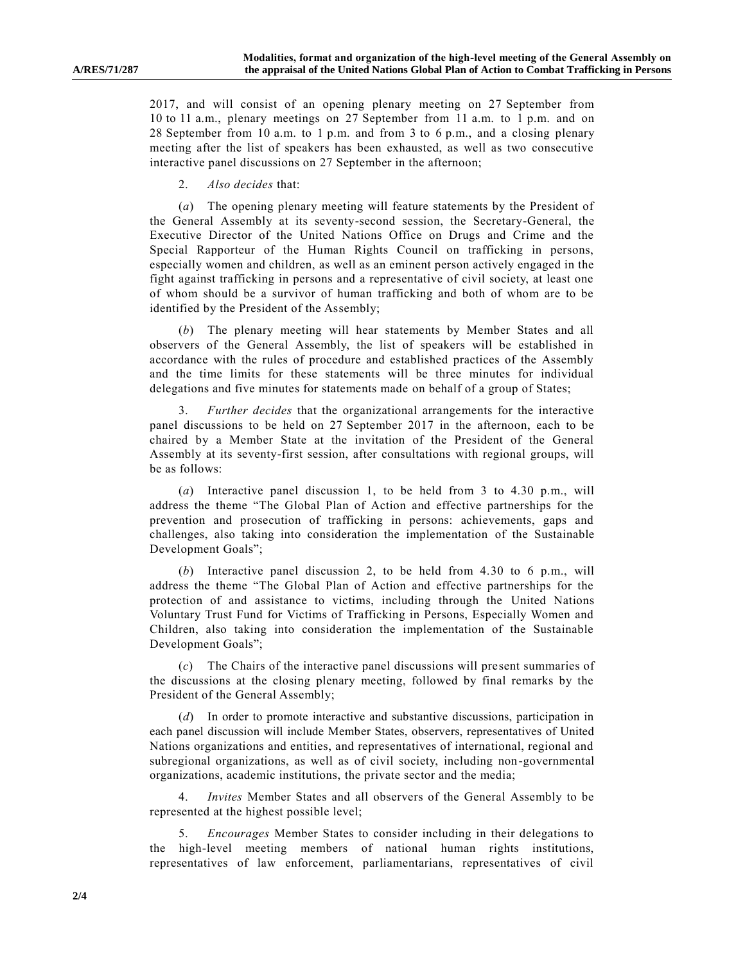2017, and will consist of an opening plenary meeting on 27 September from 10 to 11 a.m., plenary meetings on 27 September from 11 a.m. to 1 p.m. and on 28 September from 10 a.m. to 1 p.m. and from 3 to 6 p.m., and a closing plenary meeting after the list of speakers has been exhausted, as well as two consecutive interactive panel discussions on 27 September in the afternoon;

2. *Also decides* that:

(*a*) The opening plenary meeting will feature statements by the President of the General Assembly at its seventy-second session, the Secretary-General, the Executive Director of the United Nations Office on Drugs and Crime and the Special Rapporteur of the Human Rights Council on trafficking in persons, especially women and children, as well as an eminent person actively engaged in the fight against trafficking in persons and a representative of civil society, at least one of whom should be a survivor of human trafficking and both of whom are to be identified by the President of the Assembly;

(*b*) The plenary meeting will hear statements by Member States and all observers of the General Assembly, the list of speakers will be established in accordance with the rules of procedure and established practices of the Assembly and the time limits for these statements will be three minutes for individual delegations and five minutes for statements made on behalf of a group of States;

3. *Further decides* that the organizational arrangements for the interactive panel discussions to be held on 27 September 2017 in the afternoon, each to be chaired by a Member State at the invitation of the President of the General Assembly at its seventy-first session, after consultations with regional groups, will be as follows:

(*a*) Interactive panel discussion 1, to be held from 3 to 4.30 p.m., will address the theme "The Global Plan of Action and effective partnerships for the prevention and prosecution of trafficking in persons: achievements, gaps and challenges, also taking into consideration the implementation of the Sustainable Development Goals";

(*b*) Interactive panel discussion 2, to be held from 4.30 to 6 p.m., will address the theme "The Global Plan of Action and effective partnerships for the protection of and assistance to victims, including through the United Nations Voluntary Trust Fund for Victims of Trafficking in Persons, Especially Women and Children, also taking into consideration the implementation of the Sustainable Development Goals";

(*c*) The Chairs of the interactive panel discussions will present summaries of the discussions at the closing plenary meeting, followed by final remarks by the President of the General Assembly;

(*d*) In order to promote interactive and substantive discussions, participation in each panel discussion will include Member States, observers, representatives of United Nations organizations and entities, and representatives of international, regional and subregional organizations, as well as of civil society, including non-governmental organizations, academic institutions, the private sector and the media;

4. *Invites* Member States and all observers of the General Assembly to be represented at the highest possible level;

5. *Encourages* Member States to consider including in their delegations to the high-level meeting members of national human rights institutions, representatives of law enforcement, parliamentarians, representatives of civil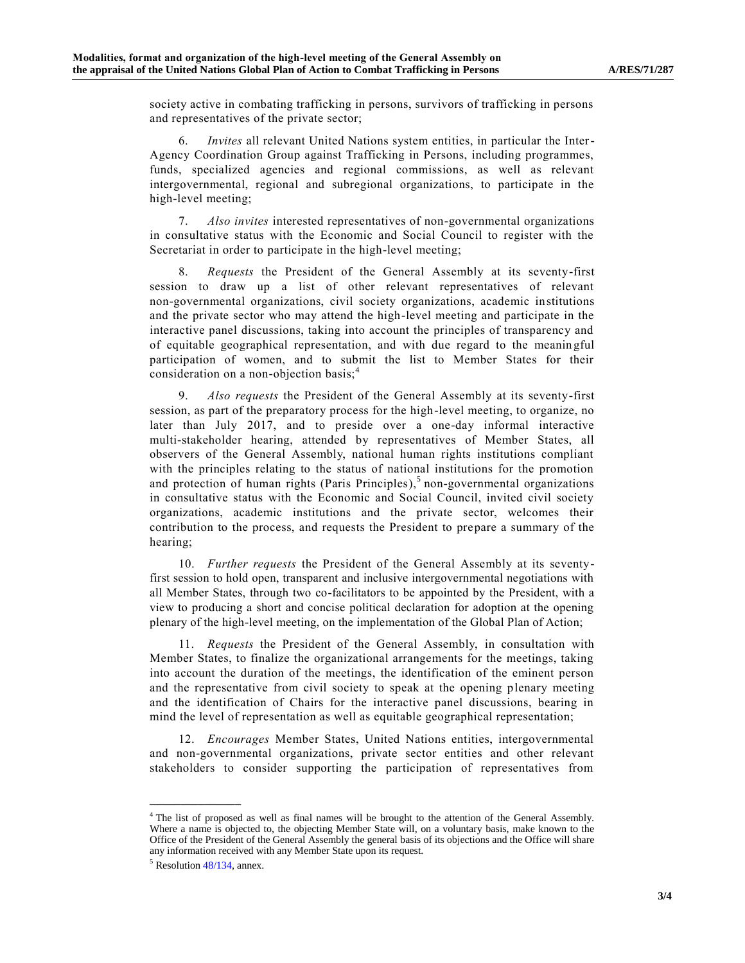society active in combating trafficking in persons, survivors of trafficking in persons and representatives of the private sector;

6. *Invites* all relevant United Nations system entities, in particular the Inter-Agency Coordination Group against Trafficking in Persons, including programmes, funds, specialized agencies and regional commissions, as well as relevant intergovernmental, regional and subregional organizations, to participate in the high-level meeting;

7. *Also invites* interested representatives of non-governmental organizations in consultative status with the Economic and Social Council to register with the Secretariat in order to participate in the high-level meeting;

8. *Requests* the President of the General Assembly at its seventy-first session to draw up a list of other relevant representatives of relevant non-governmental organizations, civil society organizations, academic institutions and the private sector who may attend the high-level meeting and participate in the interactive panel discussions, taking into account the principles of transparency and of equitable geographical representation, and with due regard to the meanin gful participation of women, and to submit the list to Member States for their consideration on a non-objection basis;<sup>4</sup>

9. *Also requests* the President of the General Assembly at its seventy-first session, as part of the preparatory process for the high-level meeting, to organize, no later than July 2017, and to preside over a one-day informal interactive multi-stakeholder hearing, attended by representatives of Member States, all observers of the General Assembly, national human rights institutions compliant with the principles relating to the status of national institutions for the promotion and protection of human rights (Paris Principles),<sup>5</sup> non-governmental organizations in consultative status with the Economic and Social Council, invited civil society organizations, academic institutions and the private sector, welcomes their contribution to the process, and requests the President to prepare a summary of the hearing;

10. *Further requests* the President of the General Assembly at its seventyfirst session to hold open, transparent and inclusive intergovernmental negotiations with all Member States, through two co-facilitators to be appointed by the President, with a view to producing a short and concise political declaration for adoption at the opening plenary of the high-level meeting, on the implementation of the Global Plan of Action;

11. *Requests* the President of the General Assembly, in consultation with Member States, to finalize the organizational arrangements for the meetings, taking into account the duration of the meetings, the identification of the eminent person and the representative from civil society to speak at the opening plenary meeting and the identification of Chairs for the interactive panel discussions, bearing in mind the level of representation as well as equitable geographical representation;

12. *Encourages* Member States, United Nations entities, intergovernmental and non-governmental organizations, private sector entities and other relevant stakeholders to consider supporting the participation of representatives from

**\_\_\_\_\_\_\_\_\_\_\_\_\_\_\_**

<sup>&</sup>lt;sup>4</sup> The list of proposed as well as final names will be brought to the attention of the General Assembly. Where a name is objected to, the objecting Member State will, on a voluntary basis, make known to the Office of the President of the General Assembly the general basis of its objections and the Office will share any information received with any Member State upon its request.

<sup>5</sup> Resolution [48/134,](http://undocs.org/A/RES/48/134) annex.